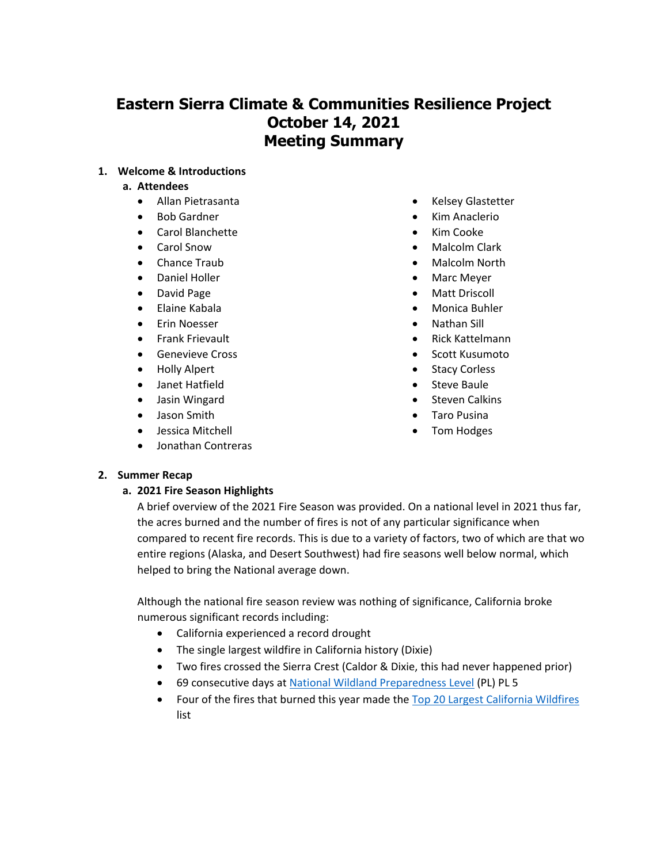# **Eastern Sierra Climate & Communities Resilience Project October 14, 2021 Meeting Summary**

## **1. Welcome & Introductions**

#### **a. Attendees**

- Allan Pietrasanta
- Bob Gardner
- Carol Blanchette
- Carol Snow
- Chance Traub
- Daniel Holler
- David Page
- Elaine Kabala
- Erin Noesser
- Frank Frievault
- Genevieve Cross
- Holly Alpert
- Janet Hatfield
- Jasin Wingard
- Jason Smith
- Jessica Mitchell
- Jonathan Contreras
- Kelsey Glastetter
- Kim Anaclerio
- Kim Cooke
- Malcolm Clark
- Malcolm North
- Marc Meyer
- Matt Driscoll
- Monica Buhler
- Nathan Sill
- Rick Kattelmann
- Scott Kusumoto
- **Stacy Corless**
- Steve Baule
- Steven Calkins
- Taro Pusina
- Tom Hodges

### **2. Summer Recap**

# **a. 2021 Fire Season Highlights**

A brief overview of the 2021 Fire Season was provided. On a national level in 2021 thus far, the acres burned and the number of fires is not of any particular significance when compared to recent fire records. This is due to a variety of factors, two of which are that wo entire regions (Alaska, and Desert Southwest) had fire seasons well below normal, which helped to bring the National average down.

Although the national fire season review was nothing of significance, California broke numerous significant records including:

- California experienced a record drought
- The single largest wildfire in California history (Dixie)
- Two fires crossed the Sierra Crest (Caldor & Dixie, this had never happened prior)
- 69 consecutive days at [National Wildland Preparedness Level](https://www.nifc.gov/sites/default/files/2020-09/National_Preparedness_Levels.pdf) (PL) PL 5
- Four of the fires that burned this year made the [Top 20 Largest California Wildfires](https://www.fire.ca.gov/media/4jandlhh/top20_acres.pdf) list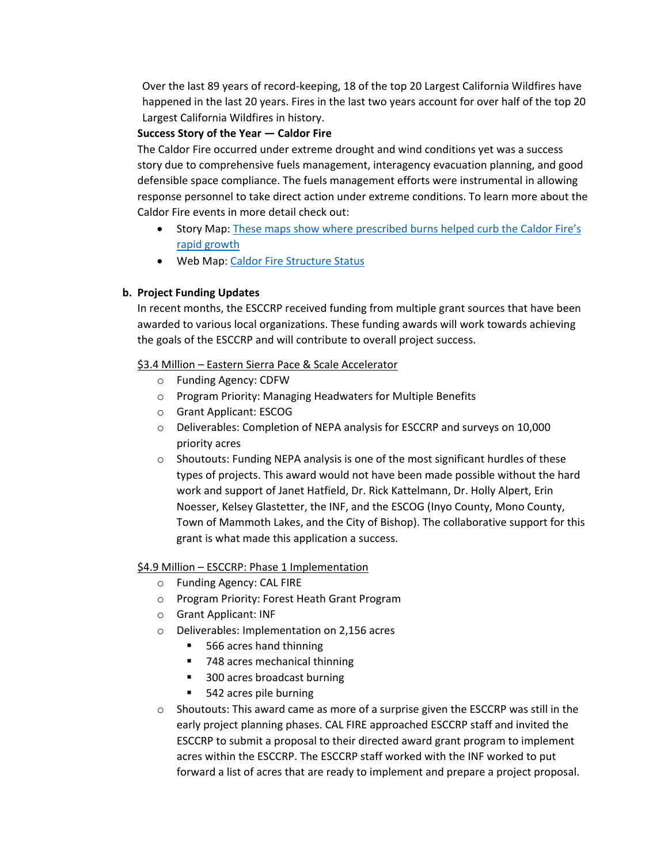Over the last 89 years of record-keeping, 18 of the top 20 Largest California Wildfires have happened in the last 20 years. Fires in the last two years account for over half of the top 20 Largest California Wildfires in history.

## **Success Story of the Year — Caldor Fire**

The Caldor Fire occurred under extreme drought and wind conditions yet was a success story due to comprehensive fuels management, interagency evacuation planning, and good defensible space compliance. The fuels management efforts were instrumental in allowing response personnel to take direct action under extreme conditions. To learn more about the Caldor Fire events in more detail check out:

- Story Map[: These maps show where prescribed burns helped curb the Caldor Fire's](https://www.sfchronicle.com/projects/2021/caldor-fire-prescribed-burn/) [rapid growth](https://www.sfchronicle.com/projects/2021/caldor-fire-prescribed-burn/)
- Web Map: Caldor [Fire Structure Status](https://calfire-forestry.maps.arcgis.com/apps/webappviewer/index.html?id=366d1a3e25ce4a11a4c0846c3a337ce9&extent=-13464888.411%2C4646560.0626%2C-13348704.128%2C4707786.1223%2C102100)

# **b. Project Funding Updates**

In recent months, the ESCCRP received funding from multiple grant sources that have been awarded to various local organizations. These funding awards will work towards achieving the goals of the ESCCRP and will contribute to overall project success.

## \$3.4 Million – Eastern Sierra Pace & Scale Accelerator

- o Funding Agency: CDFW
- o Program Priority: Managing Headwaters for Multiple Benefits
- o Grant Applicant: ESCOG
- o Deliverables: Completion of NEPA analysis for ESCCRP and surveys on 10,000 priority acres
- $\circ$  Shoutouts: Funding NEPA analysis is one of the most significant hurdles of these types of projects. This award would not have been made possible without the hard work and support of Janet Hatfield, Dr. Rick Kattelmann, Dr. Holly Alpert, Erin Noesser, Kelsey Glastetter, the INF, and the ESCOG (Inyo County, Mono County, Town of Mammoth Lakes, and the City of Bishop). The collaborative support for this grant is what made this application a success.

# \$4.9 Million – ESCCRP: Phase 1 Implementation

- o Funding Agency: CAL FIRE
- o Program Priority: Forest Heath Grant Program
- o Grant Applicant: INF
- o Deliverables: Implementation on 2,156 acres
	- 566 acres hand thinning
	- 748 acres mechanical thinning
	- 300 acres broadcast burning
	- 542 acres pile burning
- $\circ$  Shoutouts: This award came as more of a surprise given the ESCCRP was still in the early project planning phases. CAL FIRE approached ESCCRP staff and invited the ESCCRP to submit a proposal to their directed award grant program to implement acres within the ESCCRP. The ESCCRP staff worked with the INF worked to put forward a list of acres that are ready to implement and prepare a project proposal.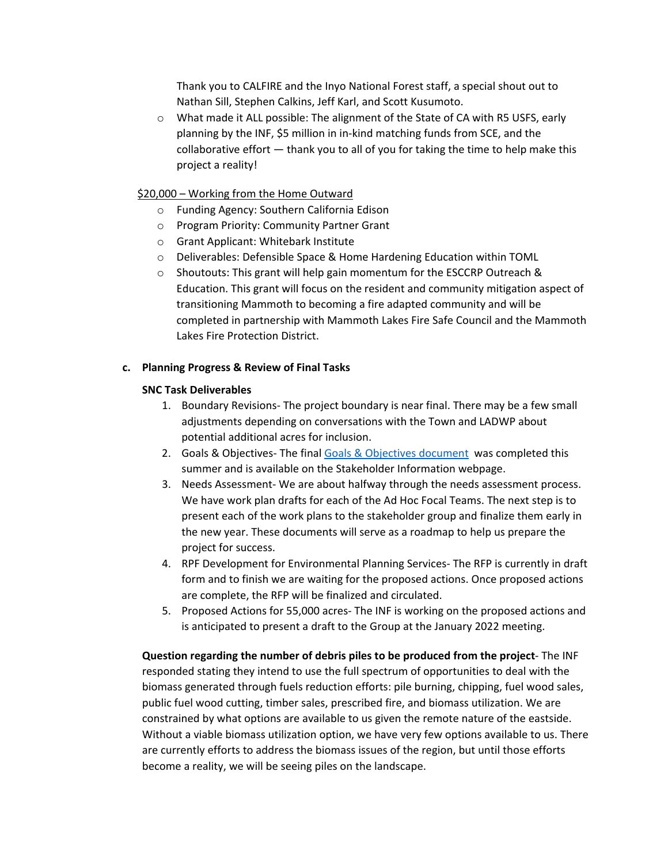Thank you to CALFIRE and the Inyo National Forest staff, a special shout out to Nathan Sill, Stephen Calkins, Jeff Karl, and Scott Kusumoto.

 $\circ$  What made it ALL possible: The alignment of the State of CA with R5 USFS, early planning by the INF, \$5 million in in-kind matching funds from SCE, and the collaborative effort — thank you to all of you for taking the time to help make this project a reality!

## \$20,000 – Working from the Home Outward

- o Funding Agency: Southern California Edison
- o Program Priority: Community Partner Grant
- o Grant Applicant: Whitebark Institute
- o Deliverables: Defensible Space & Home Hardening Education within TOML
- o Shoutouts: This grant will help gain momentum for the ESCCRP Outreach & Education. This grant will focus on the resident and community mitigation aspect of transitioning Mammoth to becoming a fire adapted community and will be completed in partnership with Mammoth Lakes Fire Safe Council and the Mammoth Lakes Fire Protection District.

## **c. Planning Progress & Review of Final Tasks**

### **SNC Task Deliverables**

- 1. Boundary Revisions- The project boundary is near final. There may be a few small adjustments depending on conversations with the Town and LADWP about potential additional acres for inclusion.
- 2. Goals & Objectives- The fina[l Goals & Objectives document](https://6e569fe6-5a83-4329-8d2b-a6aa1e368140.filesusr.com/ugd/53aa1c_13f6a8d814324700b90b68e036b35c66.pdf) was completed this summer and is available on the Stakeholder Information webpage.
- 3. Needs Assessment- We are about halfway through the needs assessment process. We have work plan drafts for each of the Ad Hoc Focal Teams. The next step is to present each of the work plans to the stakeholder group and finalize them early in the new year. These documents will serve as a roadmap to help us prepare the project for success.
- 4. RPF Development for Environmental Planning Services- The RFP is currently in draft form and to finish we are waiting for the proposed actions. Once proposed actions are complete, the RFP will be finalized and circulated.
- 5. Proposed Actions for 55,000 acres- The INF is working on the proposed actions and is anticipated to present a draft to the Group at the January 2022 meeting.

**Question regarding the number of debris piles to be produced from the project**- The INF responded stating they intend to use the full spectrum of opportunities to deal with the biomass generated through fuels reduction efforts: pile burning, chipping, fuel wood sales, public fuel wood cutting, timber sales, prescribed fire, and biomass utilization. We are constrained by what options are available to us given the remote nature of the eastside. Without a viable biomass utilization option, we have very few options available to us. There are currently efforts to address the biomass issues of the region, but until those efforts become a reality, we will be seeing piles on the landscape.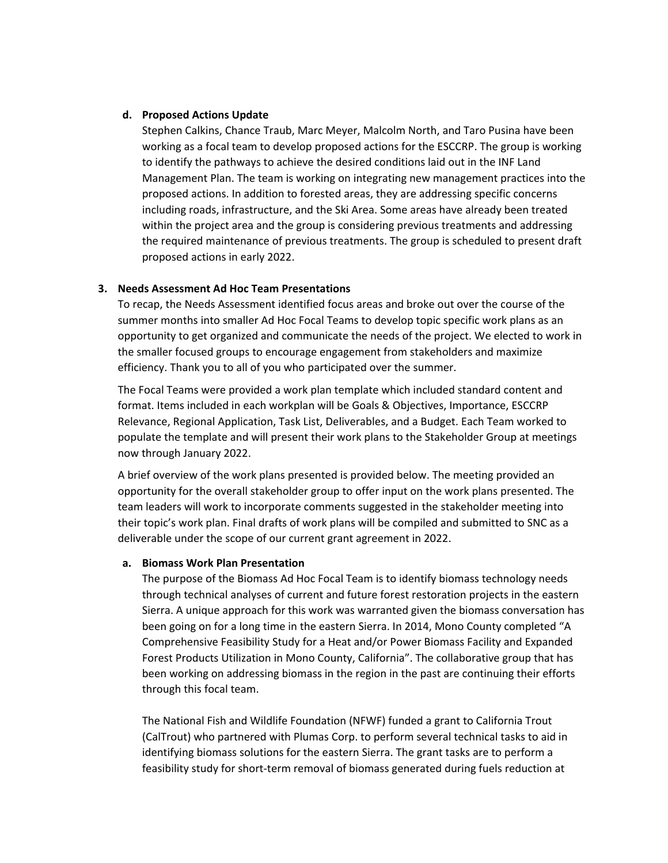#### **d. Proposed Actions Update**

Stephen Calkins, Chance Traub, Marc Meyer, Malcolm North, and Taro Pusina have been working as a focal team to develop proposed actions for the ESCCRP. The group is working to identify the pathways to achieve the desired conditions laid out in the INF Land Management Plan. The team is working on integrating new management practices into the proposed actions. In addition to forested areas, they are addressing specific concerns including roads, infrastructure, and the Ski Area. Some areas have already been treated within the project area and the group is considering previous treatments and addressing the required maintenance of previous treatments. The group is scheduled to present draft proposed actions in early 2022.

#### **3. Needs Assessment Ad Hoc Team Presentations**

To recap, the Needs Assessment identified focus areas and broke out over the course of the summer months into smaller Ad Hoc Focal Teams to develop topic specific work plans as an opportunity to get organized and communicate the needs of the project. We elected to work in the smaller focused groups to encourage engagement from stakeholders and maximize efficiency. Thank you to all of you who participated over the summer.

The Focal Teams were provided a work plan template which included standard content and format. Items included in each workplan will be Goals & Objectives, Importance, ESCCRP Relevance, Regional Application, Task List, Deliverables, and a Budget. Each Team worked to populate the template and will present their work plans to the Stakeholder Group at meetings now through January 2022.

A brief overview of the work plans presented is provided below. The meeting provided an opportunity for the overall stakeholder group to offer input on the work plans presented. The team leaders will work to incorporate comments suggested in the stakeholder meeting into their topic's work plan. Final drafts of work plans will be compiled and submitted to SNC as a deliverable under the scope of our current grant agreement in 2022.

#### **a. Biomass Work Plan Presentation**

The purpose of the Biomass Ad Hoc Focal Team is to identify biomass technology needs through technical analyses of current and future forest restoration projects in the eastern Sierra. A unique approach for this work was warranted given the biomass conversation has been going on for a long time in the eastern Sierra. In 2014, Mono County completed "A Comprehensive Feasibility Study for a Heat and/or Power Biomass Facility and Expanded Forest Products Utilization in Mono County, California". The collaborative group that has been working on addressing biomass in the region in the past are continuing their efforts through this focal team.

The National Fish and Wildlife Foundation (NFWF) funded a grant to California Trout (CalTrout) who partnered with Plumas Corp. to perform several technical tasks to aid in identifying biomass solutions for the eastern Sierra. The grant tasks are to perform a feasibility study for short-term removal of biomass generated during fuels reduction at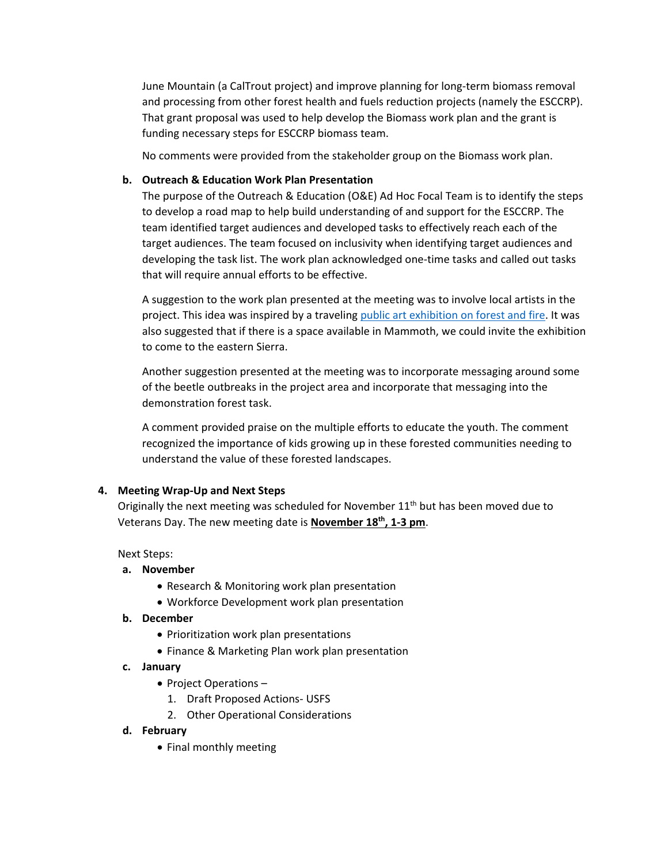June Mountain (a CalTrout project) and improve planning for long-term biomass removal and processing from other forest health and fuels reduction projects (namely the ESCCRP). That grant proposal was used to help develop the Biomass work plan and the grant is funding necessary steps for ESCCRP biomass team.

No comments were provided from the stakeholder group on the Biomass work plan.

### **b. Outreach & Education Work Plan Presentation**

The purpose of the Outreach & Education (O&E) Ad Hoc Focal Team is to identify the steps to develop a road map to help build understanding of and support for the ESCCRP. The team identified target audiences and developed tasks to effectively reach each of the target audiences. The team focused on inclusivity when identifying target audiences and developing the task list. The work plan acknowledged one-time tasks and called out tasks that will require annual efforts to be effective.

A suggestion to the work plan presented at the meeting was to involve local artists in the project. This idea was inspired by a traveling [public art exhibition](https://www.nevadacountyarts.org/forestfire) on forest and fire. It was also suggested that if there is a space available in Mammoth, we could invite the exhibition to come to the eastern Sierra.

Another suggestion presented at the meeting was to incorporate messaging around some of the beetle outbreaks in the project area and incorporate that messaging into the demonstration forest task.

A comment provided praise on the multiple efforts to educate the youth. The comment recognized the importance of kids growing up in these forested communities needing to understand the value of these forested landscapes.

### **4. Meeting Wrap-Up and Next Steps**

Originally the next meeting was scheduled for November  $11<sup>th</sup>$  but has been moved due to Veterans Day. The new meeting date is **November 18th, 1-3 pm**.

Next Steps:

#### **a. November**

- Research & Monitoring work plan presentation
- Workforce Development work plan presentation
- **b. December** 
	- Prioritization work plan presentations
	- Finance & Marketing Plan work plan presentation
- **c. January** 
	- Project Operations
		- 1. Draft Proposed Actions- USFS
		- 2. Other Operational Considerations
- **d. February**
	- Final monthly meeting